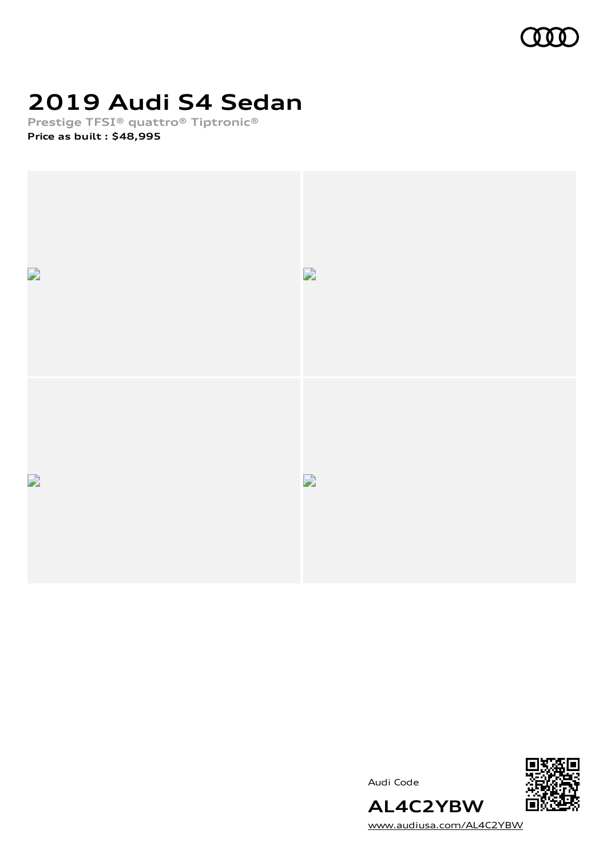

# **2019 Audi S4 Sedan**

**Prestige TFSI® quattro® Tiptronic®**

**Price as built [:](#page-8-0) \$48,995**



Audi Code



[www.audiusa.com/AL4C2YBW](https://www.audiusa.com/AL4C2YBW)

**AL4C2YBW**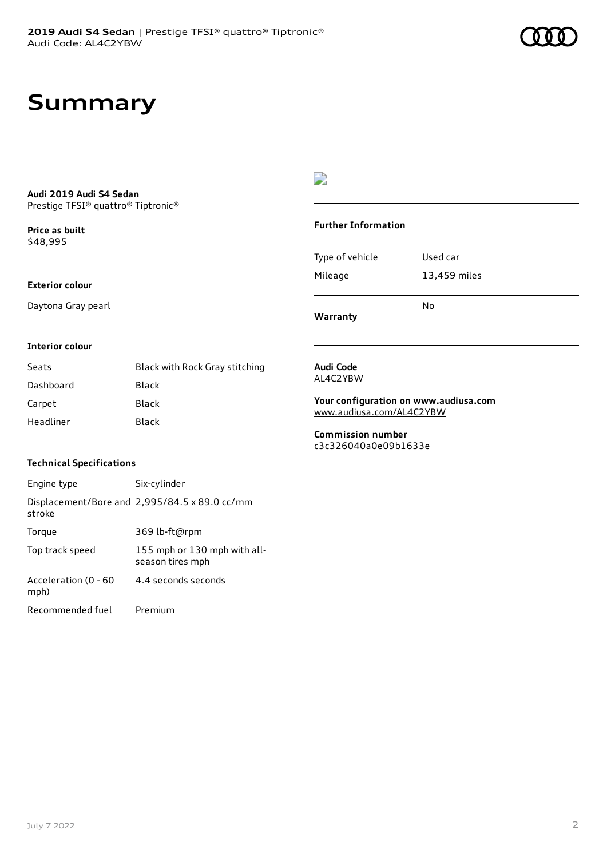### **Summary**

#### **Audi 2019 Audi S4 Sedan** Prestige TFSI® quattro® Tiptronic®

**Price as buil[t](#page-8-0)** \$48,995

#### **Exterior colour**

Daytona Gray pearl

### $\overline{\phantom{a}}$

#### **Further Information**

|                 | N٥           |
|-----------------|--------------|
| Mileage         | 13,459 miles |
| Type of vehicle | Used car     |

**Warranty**

#### **Interior colour**

| Seats     | Black with Rock Gray stitching |
|-----------|--------------------------------|
| Dashboard | Black                          |
| Carpet    | Black                          |
| Headliner | Black                          |

#### **Audi Code** AL4C2YBW

**Your configuration on www.audiusa.com**

[www.audiusa.com/AL4C2YBW](https://www.audiusa.com/AL4C2YBW)

**Commission number** c3c326040a0e09b1633e

#### **Technical Specifications**

| Engine type                  | Six-cylinder                                     |
|------------------------------|--------------------------------------------------|
| stroke                       | Displacement/Bore and 2,995/84.5 x 89.0 cc/mm    |
| Torque                       | 369 lb-ft@rpm                                    |
| Top track speed              | 155 mph or 130 mph with all-<br>season tires mph |
| Acceleration (0 - 60<br>mph) | 4.4 seconds seconds                              |
| Recommended fuel             | Premium                                          |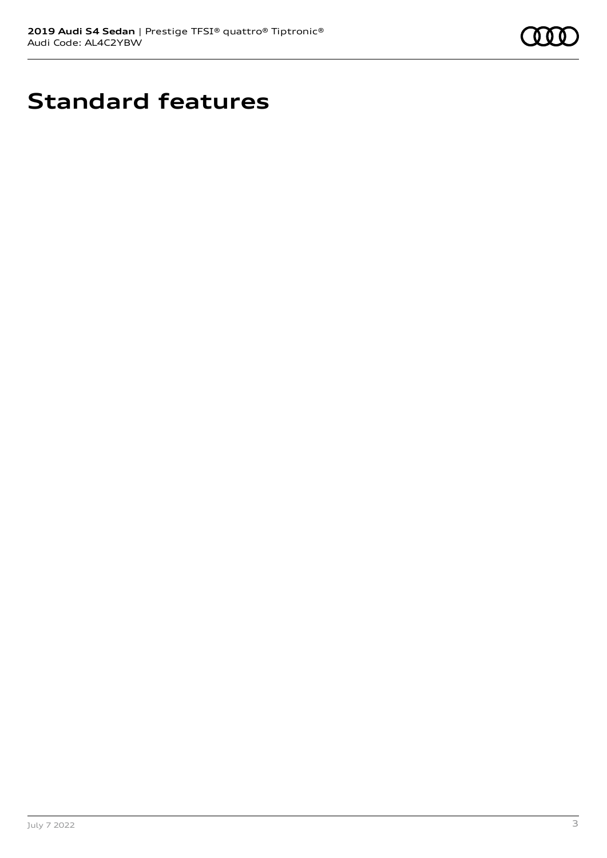

# **Standard features**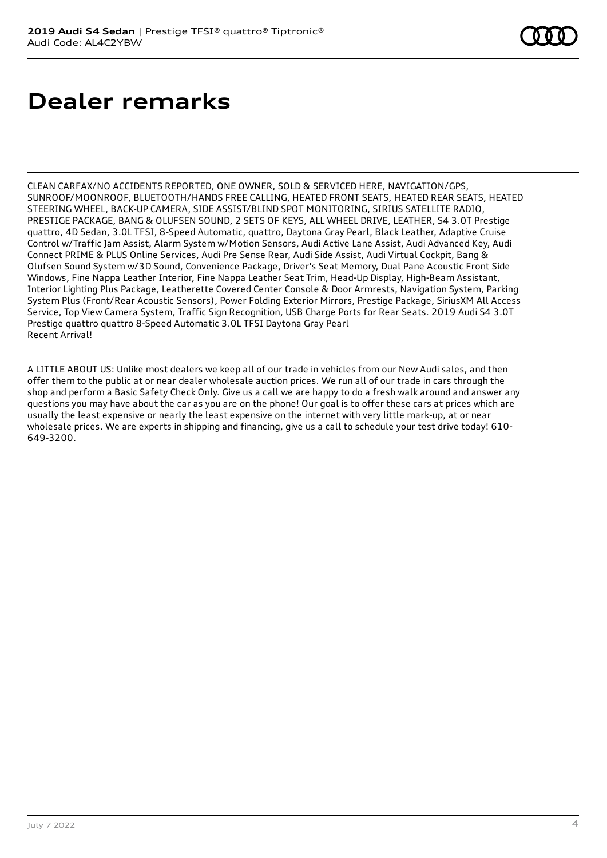## **Dealer remarks**

CLEAN CARFAX/NO ACCIDENTS REPORTED, ONE OWNER, SOLD & SERVICED HERE, NAVIGATION/GPS, SUNROOF/MOONROOF, BLUETOOTH/HANDS FREE CALLING, HEATED FRONT SEATS, HEATED REAR SEATS, HEATED STEERING WHEEL, BACK-UP CAMERA, SIDE ASSIST/BLIND SPOT MONITORING, SIRIUS SATELLITE RADIO, PRESTIGE PACKAGE, BANG & OLUFSEN SOUND, 2 SETS OF KEYS, ALL WHEEL DRIVE, LEATHER, S4 3.0T Prestige quattro, 4D Sedan, 3.0L TFSI, 8-Speed Automatic, quattro, Daytona Gray Pearl, Black Leather, Adaptive Cruise Control w/Traffic Jam Assist, Alarm System w/Motion Sensors, Audi Active Lane Assist, Audi Advanced Key, Audi Connect PRIME & PLUS Online Services, Audi Pre Sense Rear, Audi Side Assist, Audi Virtual Cockpit, Bang & Olufsen Sound System w/3D Sound, Convenience Package, Driver's Seat Memory, Dual Pane Acoustic Front Side Windows, Fine Nappa Leather Interior, Fine Nappa Leather Seat Trim, Head-Up Display, High-Beam Assistant, Interior Lighting Plus Package, Leatherette Covered Center Console & Door Armrests, Navigation System, Parking System Plus (Front/Rear Acoustic Sensors), Power Folding Exterior Mirrors, Prestige Package, SiriusXM All Access Service, Top View Camera System, Traffic Sign Recognition, USB Charge Ports for Rear Seats. 2019 Audi S4 3.0T Prestige quattro quattro 8-Speed Automatic 3.0L TFSI Daytona Gray Pearl Recent Arrival!

A LITTLE ABOUT US: Unlike most dealers we keep all of our trade in vehicles from our New Audi sales, and then offer them to the public at or near dealer wholesale auction prices. We run all of our trade in cars through the shop and perform a Basic Safety Check Only. Give us a call we are happy to do a fresh walk around and answer any questions you may have about the car as you are on the phone! Our goal is to offer these cars at prices which are usually the least expensive or nearly the least expensive on the internet with very little mark-up, at or near wholesale prices. We are experts in shipping and financing, give us a call to schedule your test drive today! 610- 649-3200.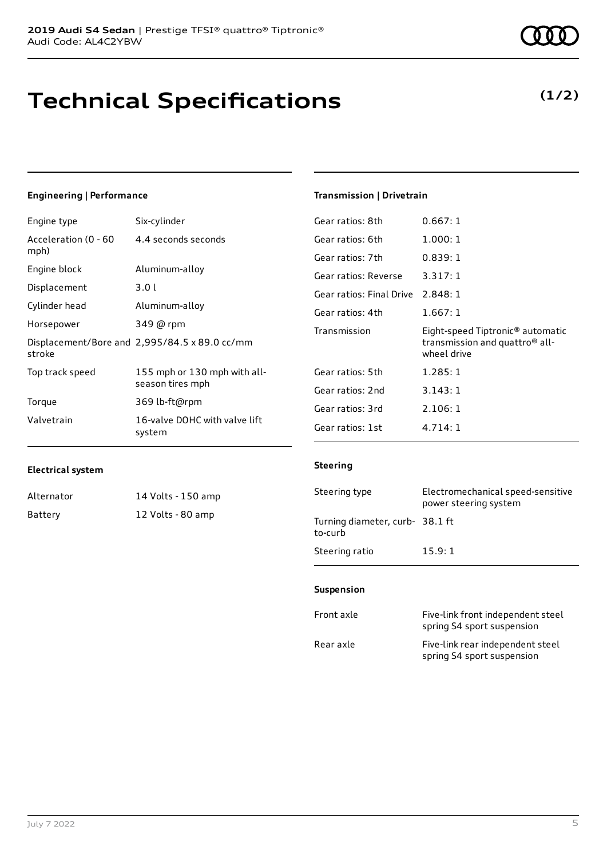# **Technical Specifications**

### **Engineering | Performance**

| Engine type          | Six-cylinder                                  | Gear ratios: 8th         | 0.667:1                                                   |
|----------------------|-----------------------------------------------|--------------------------|-----------------------------------------------------------|
| Acceleration (0 - 60 | 4.4 seconds seconds                           | Gear ratios: 6th         | 1.000:1                                                   |
| mph)                 |                                               | Gear ratios: 7th         | 0.839:1                                                   |
| Engine block         | Aluminum-alloy                                | Gear ratios: Reverse     | 3.317:1                                                   |
| Displacement         | 3.01                                          | Gear ratios: Final Drive | 2.848:1                                                   |
| Cylinder head        | Aluminum-alloy                                | Gear ratios: 4th         | 1.667:1                                                   |
| Horsepower           | 349 @ rpm                                     | Transmission             | Eight-speed Tiptronic <sup>®</sup> automatic              |
| stroke               | Displacement/Bore and 2,995/84.5 x 89.0 cc/mm |                          | transmission and quattro <sup>®</sup> all-<br>wheel drive |
| Top track speed      | 155 mph or 130 mph with all-                  | Gear ratios: 5th         | 1.285:1                                                   |
| season tires mph     | Gear ratios: 2nd                              | 3.143:1                  |                                                           |
| Torque               | 369 lb-ft@rpm                                 | Gear ratios: 3rd         | 2.106:1                                                   |
| Valvetrain           | 16-valve DOHC with valve lift<br>system       | Gear ratios: 1st         | 4.714:1                                                   |

#### **Electrical system**

| Alternator | 14 Volts - 150 amp |
|------------|--------------------|
| Battery    | 12 Volts - 80 amp  |

| Gear ratios: 5th | 1.285:1 |
|------------------|---------|
| Gear ratios: 2nd | 3.143:1 |
| Gear ratios: 3rd | 2.106:1 |
| Gear ratios: 1st | 4.714:1 |

**Transmission | Drivetrain**

#### **Steering**

| Steering type                             | Electromechanical speed-sensitive<br>power steering system |
|-------------------------------------------|------------------------------------------------------------|
| Turning diameter, curb-38.1 ft<br>to-curb |                                                            |
| Steering ratio                            | 15.9:1                                                     |

#### **Suspension**

| Front axle | Five-link front independent steel<br>spring S4 sport suspension |
|------------|-----------------------------------------------------------------|
| Rear axle  | Five-link rear independent steel<br>spring S4 sport suspension  |

### **(1/2)**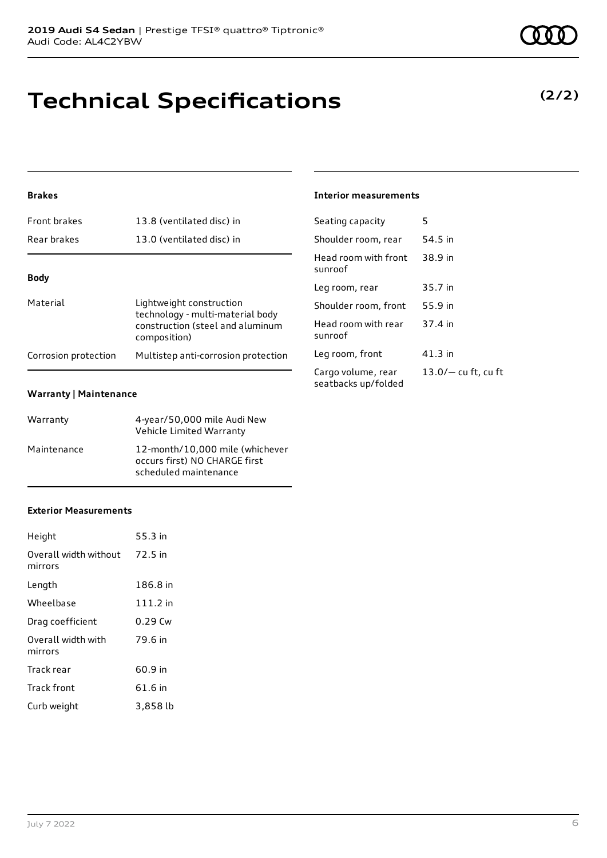## **Technical Specifications**

### **Brakes**

| <b>Front brakes</b>  | 13.8 (ventilated disc) in                                                                                        |
|----------------------|------------------------------------------------------------------------------------------------------------------|
| Rear brakes          | 13.0 (ventilated disc) in                                                                                        |
|                      |                                                                                                                  |
| <b>Body</b>          |                                                                                                                  |
| Material             | Lightweight construction<br>technology - multi-material body<br>construction (steel and aluminum<br>composition) |
| Corrosion protection | Multistep anti-corrosion protection                                                                              |

#### **Warranty | Maintenance**

| Warranty    | 4-year/50,000 mile Audi New<br>Vehicle Limited Warranty                                   |
|-------------|-------------------------------------------------------------------------------------------|
| Maintenance | 12-month/10.000 mile (whichever<br>occurs first) NO CHARGE first<br>scheduled maintenance |

### **Exterior Measurements**

| Height                           | 55.3 in   |
|----------------------------------|-----------|
| Overall width without<br>mirrors | 72.5 in   |
| Length                           | 186.8 in  |
| Wheelbase                        | 111.2 in  |
| Drag coefficient                 | $0.29$ Cw |
| Overall width with<br>mirrors    | 79.6 in   |
| Track rear                       | 60.9 in   |
| Track front                      | 61.6 in   |
| Curb weight                      | 3,858 lb  |

**Interior measurements**

| Seating capacity                          | 5                     |
|-------------------------------------------|-----------------------|
| Shoulder room, rear                       | 54.5 in               |
| Head room with front<br>sunroof           | 38.9 in               |
| Leg room, rear                            | 35.7 in               |
| Shoulder room, front                      | 55.9 in               |
| Head room with rear<br>sunroof            | 37.4 in               |
| Leg room, front                           | 41.3 in               |
| Cargo volume, rear<br>seatbacks up/folded | $13.0/-$ cu ft, cu ft |

### **(2/2)**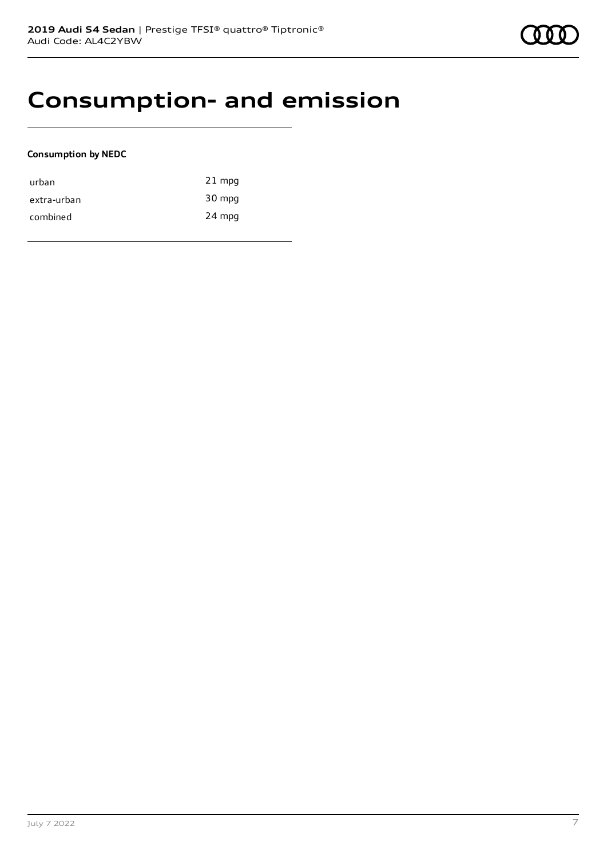### **Consumption- and emission**

#### **Consumption by NEDC**

| urban       | $21$ mpg |
|-------------|----------|
| extra-urban | 30 mpg   |
| combined    | 24 mpg   |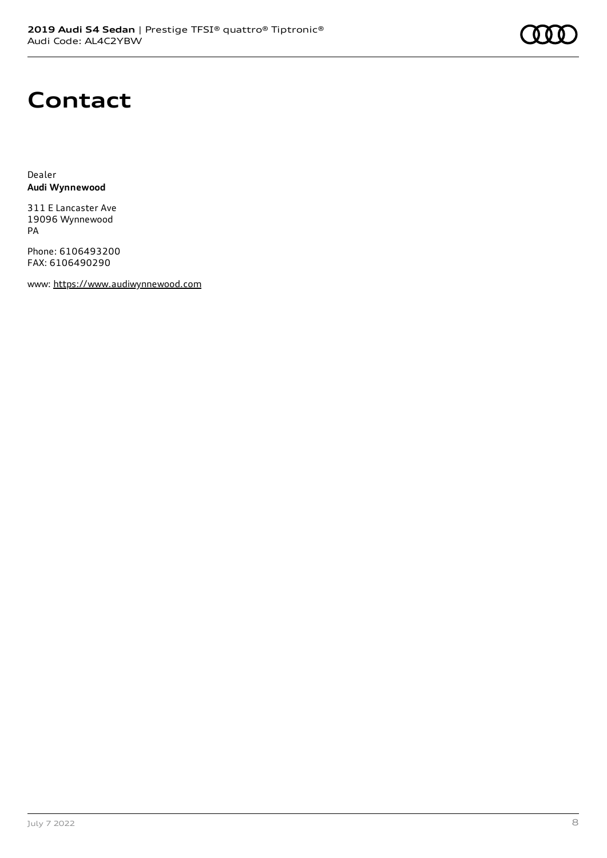# **Contact**

Dealer **Audi Wynnewood**

311 E Lancaster Ave 19096 Wynnewood PA

Phone: 6106493200 FAX: 6106490290

www: [https://www.audiwynnewood.com](https://www.audiwynnewood.com/)